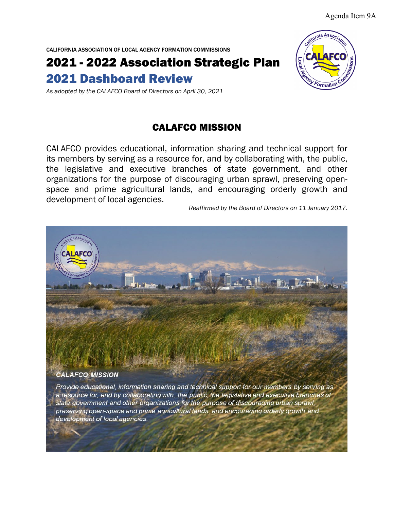Agenda Item 9A

CALIFORNIA ASSOCIATION OF LOCAL AGENCY FORMATION COMMISSIONS

2021 - 2022 Association Strategic Plan 2021 Dashboard Review

*As adopted by the CALAFCO Board of Directors on April 30, 2021*

## CALAFCO MISSION

CALAFCO provides educational, information sharing and technical support for its members by serving as a resource for, and by collaborating with, the public, the legislative and executive branches of state government, and other organizations for the purpose of discouraging urban sprawl, preserving openspace and prime agricultural lands, and encouraging orderly growth and development of local agencies.

*Reaffirmed by the Board of Directors on 11 January 2017.*

#### **CALAFCO MISSION**

Provide educational, information sharing and technical support for our members by serving as a resource for, and by collaborating with, the public, the legislative and executive branches of state government and other organizations for the purpose of discouraging urban sprawl, preserving open-space and prime agricultural lands, and encouraging orderly growth and development of local agencies.



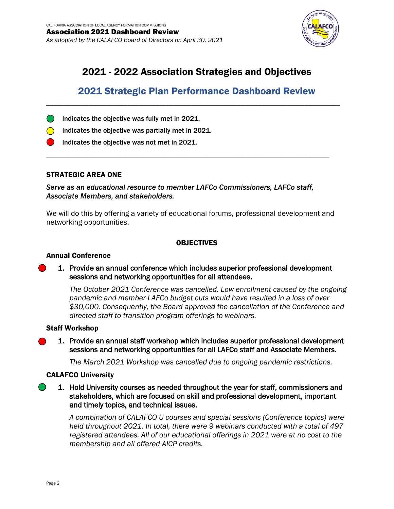

# 2021 - 2022 Association Strategies and Objectives

# 2021 Strategic Plan Performance Dashboard Review

\_\_\_\_\_\_\_\_\_\_\_\_\_\_\_\_\_\_\_\_\_\_\_\_\_\_\_\_\_\_\_\_\_\_\_\_\_\_\_\_\_\_\_\_\_\_\_\_\_\_\_\_\_\_\_\_\_\_\_\_\_\_\_\_\_\_\_\_\_\_\_\_\_\_\_\_\_\_\_\_\_\_\_

- Indicates the objective was fully met in 2021.
- $\bigcirc$  Indicates the objective was partially met in 2021.
	- Indicates the objective was not met in 2021.

#### STRATEGIC AREA ONE

*Serve as an educational resource to member LAFCo Commissioners, LAFCo staff, Associate Members, and stakeholders.*

\_\_\_\_\_\_\_\_\_\_\_\_\_\_\_\_\_\_\_\_\_\_\_\_\_\_\_\_\_\_\_\_\_\_\_\_\_\_\_\_\_\_\_\_\_\_\_\_\_\_\_\_\_\_\_\_\_\_\_\_\_\_\_\_\_\_\_\_\_\_\_\_\_\_\_\_\_\_\_\_

We will do this by offering a variety of educational forums, professional development and networking opportunities.

## OBJECTIVES

#### Annual Conference

#### 1. Provide an annual conference which includes superior professional development sessions and networking opportunities for all attendees.

*The October 2021 Conference was cancelled. Low enrollment caused by the ongoing pandemic and member LAFCo budget cuts would have resulted in a loss of over \$30,000. Consequently, the Board approved the cancellation of the Conference and directed staff to transition program offerings to webinars.*

#### Staff Workshop

1. Provide an annual staff workshop which includes superior professional development sessions and networking opportunities for all LAFCo staff and Associate Members.

*The March 2021 Workshop was cancelled due to ongoing pandemic restrictions.* 

#### CALAFCO University

1. Hold University courses as needed throughout the year for staff, commissioners and stakeholders, which are focused on skill and professional development, important and timely topics, and technical issues.

*A combination of CALAFCO U courses and special sessions (Conference topics) were held throughout 2021. In total, there were 9 webinars conducted with a total of 497 registered attendees. All of our educational offerings in 2021 were at no cost to the membership and all offered AICP credits.*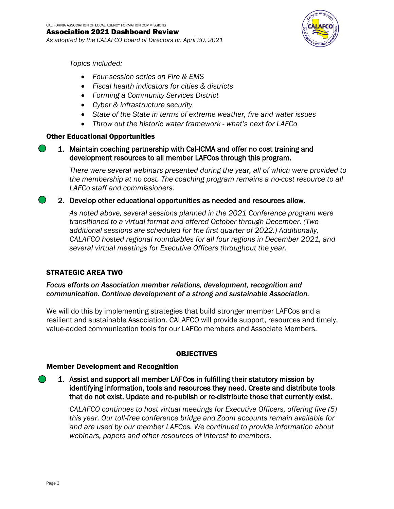*As adopted by the CALAFCO Board of Directors on April 30, 2021*



*Topics included:*

- *Four-session series on Fire & EMS*
- *Fiscal health indicators for cities & districts*
- *Forming a Community Services District*
- *Cyber & infrastructure security*
- *State of the State in terms of extreme weather, fire and water issues*
- *Throw out the historic water framework - what's next for LAFCo*

## Other Educational Opportunities

1. Maintain coaching partnership with Cal-ICMA and offer no cost training and development resources to all member LAFCos through this program.

*There were several webinars presented during the year, all of which were provided to the membership at no cost. The coaching program remains a no-cost resource to all LAFCo staff and commissioners.* 

2. Develop other educational opportunities as needed and resources allow.

*As noted above, several sessions planned in the 2021 Conference program were transitioned to a virtual format and offered October through December. (Two additional sessions are scheduled for the first quarter of 2022.) Additionally, CALAFCO hosted regional roundtables for all four regions in December 2021, and several virtual meetings for Executive Officers throughout the year.*

## STRATEGIC AREA TWO

*Focus efforts on Association member relations, development, recognition and communication. Continue development of a strong and sustainable Association.*

We will do this by implementing strategies that build stronger member LAFCos and a resilient and sustainable Association. CALAFCO will provide support, resources and timely, value-added communication tools for our LAFCo members and Associate Members.

## OBJECTIVES

#### Member Development and Recognition

1. Assist and support all member LAFCos in fulfilling their statutory mission by identifying information, tools and resources they need. Create and distribute tools that do not exist. Update and re-publish or re-distribute those that currently exist.

*CALAFCO continues to host virtual meetings for Executive Officers, offering five (5) this year. Our toll-free conference bridge and Zoom accounts remain available for and are used by our member LAFCos. We continued to provide information about webinars, papers and other resources of interest to members.*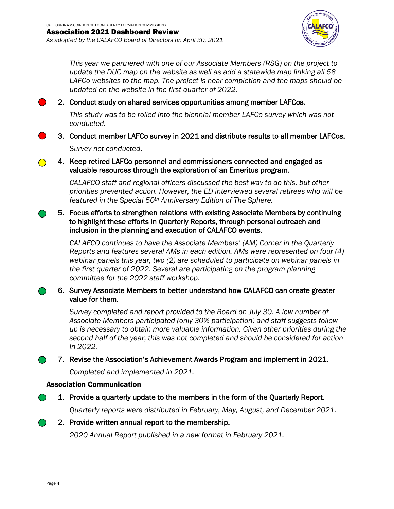*As adopted by the CALAFCO Board of Directors on April 30, 2021*



*This year we partnered with one of our Associate Members (RSG) on the project to update the DUC map on the website as well as add a statewide map linking all 58 LAFCo websites to the map. The project is near completion and the maps should be updated on the website in the first quarter of 2022.* 

2. Conduct study on shared services opportunities among member LAFCos.

*This study was to be rolled into the biennial member LAFCo survey which was not conducted.*

3. Conduct member LAFCo survey in 2021 and distribute results to all member LAFCos.

*Survey not conducted*.

4. Keep retired LAFCo personnel and commissioners connected and engaged as valuable resources through the exploration of an Emeritus program.

*CALAFCO staff and regional officers discussed the best way to do this, but other priorities prevented action. However, the ED interviewed several retirees who will be featured in the Special 50th Anniversary Edition of The Sphere.*

## 5. Focus efforts to strengthen relations with existing Associate Members by continuing to highlight these efforts in Quarterly Reports, through personal outreach and inclusion in the planning and execution of CALAFCO events.

*CALAFCO continues to have the Associate Members' (AM) Corner in the Quarterly Reports and features several AMs in each edition. AMs were represented on four (4) webinar panels this year, two (2) are scheduled to participate on webinar panels in the first quarter of 2022. Several are participating on the program planning committee for the 2022 staff workshop.*

## 6. Survey Associate Members to better understand how CALAFCO can create greater value for them.

*Survey completed and report provided to the Board on July 30. A low number of Associate Members participated (only 30% participation) and staff suggests followup is necessary to obtain more valuable information. Given other priorities during the second half of the year, this was not completed and should be considered for action in 2022.* 

7. Revise the Association's Achievement Awards Program and implement in 2021.

*Completed and implemented in 2021.* 

## Association Communication

1. Provide a quarterly update to the members in the form of the Quarterly Report.

*Quarterly reports were distributed in February, May, August, and December 2021.*

## 2. Provide written annual report to the membership.

*2020 Annual Report published in a new format in February 2021.*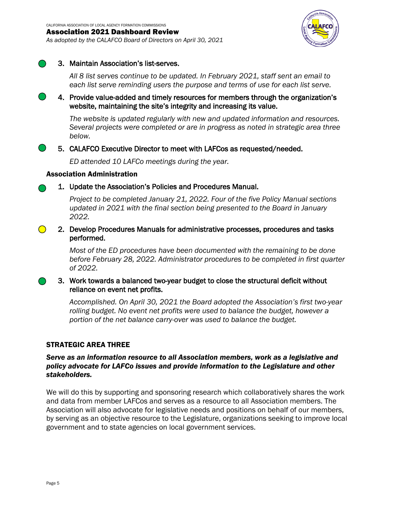*As adopted by the CALAFCO Board of Directors on April 30, 2021*



#### 3. Maintain Association's list-serves.

*All 8 list serves continue to be updated. In February 2021, staff sent an email to each list serve reminding users the purpose and terms of use for each list serve.*

4. Provide value-added and timely resources for members through the organization's website, maintaining the site's integrity and increasing its value.

*The website is updated regularly with new and updated information and resources. Several projects were completed or are in progress as noted in strategic area three below.*

## 5. CALAFCO Executive Director to meet with LAFCos as requested/needed.

*ED attended 10 LAFCo meetings during the year.*

#### Association Administration

## 1. Update the Association's Policies and Procedures Manual.

*Project to be completed January 21, 2022. Four of the five Policy Manual sections updated in 2021 with the final section being presented to the Board in January 2022.* 

2. Develop Procedures Manuals for administrative processes, procedures and tasks performed.

> *Most of the ED procedures have been documented with the remaining to be done before February 28, 2022. Administrator procedures to be completed in first quarter of 2022.*

## 3. Work towards a balanced two-year budget to close the structural deficit without reliance on event net profits.

*Accomplished. On April 30, 2021 the Board adopted the Association's first two-year*  rolling budget. No event net profits were used to balance the budget, however a *portion of the net balance carry-over was used to balance the budget.*

#### STRATEGIC AREA THREE

## *Serve as an information resource to all Association members, work as a legislative and policy advocate for LAFCo issues and provide information to the Legislature and other stakeholders.*

We will do this by supporting and sponsoring research which collaboratively shares the work and data from member LAFCos and serves as a resource to all Association members. The Association will also advocate for legislative needs and positions on behalf of our members, by serving as an objective resource to the Legislature, organizations seeking to improve local government and to state agencies on local government services.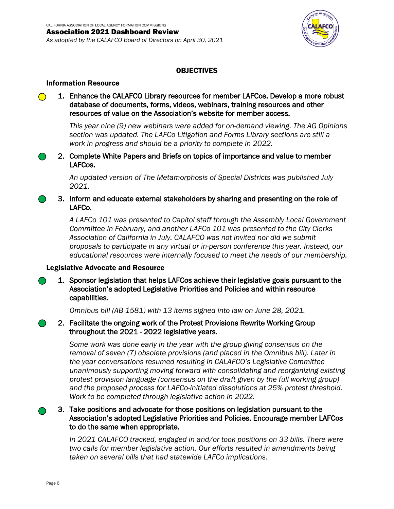*As adopted by the CALAFCO Board of Directors on April 30, 2021*



## OBJECTIVES

#### Information Resource

1. Enhance the CALAFCO Library resources for member LAFCos. Develop a more robust database of documents, forms, videos, webinars, training resources and other resources of value on the Association's website for member access.

*This year nine (9) new webinars were added for on-demand viewing. The AG Opinions section was updated. The LAFCo Litigation and Forms Library sections are still a work in progress and should be a priority to complete in 2022.* 

2. Complete White Papers and Briefs on topics of importance and value to member LAFCos.

> *An updated version of The Metamorphosis of Special Districts was published July 2021.*

3. Inform and educate external stakeholders by sharing and presenting on the role of LAFCo.

*A LAFCo 101 was presented to Capitol staff through the Assembly Local Government Committee in February, and another LAFCo 101 was presented to the City Clerks Association of California in July. CALAFCO was not invited nor did we submit proposals to participate in any virtual or in-person conference this year. Instead, our educational resources were internally focused to meet the needs of our membership.*

#### Legislative Advocate and Resource

1. Sponsor legislation that helps LAFCos achieve their legislative goals pursuant to the Association's adopted Legislative Priorities and Policies and within resource capabilities.

*Omnibus bill (AB 1581) with 13 items signed into law on June 28, 2021.*

2. Facilitate the ongoing work of the Protest Provisions Rewrite Working Group throughout the 2021 - 2022 legislative years.

> *Some work was done early in the year with the group giving consensus on the removal of seven (7) obsolete provisions (and placed in the Omnibus bill). Later in the year conversations resumed resulting in CALAFCO's Legislative Committee unanimously supporting moving forward with consolidating and reorganizing existing protest provision language (consensus on the draft given by the full working group) and the proposed process for LAFCo-initiated dissolutions at 25% protest threshold. Work to be completed through legislative action in 2022.*

## 3. Take positions and advocate for those positions on legislation pursuant to the Association's adopted Legislative Priorities and Policies. Encourage member LAFCos to do the same when appropriate.

*In 2021 CALAFCO tracked, engaged in and/or took positions on 33 bills. There were two calls for member legislative action. Our efforts resulted in amendments being taken on several bills that had statewide LAFCo implications.*